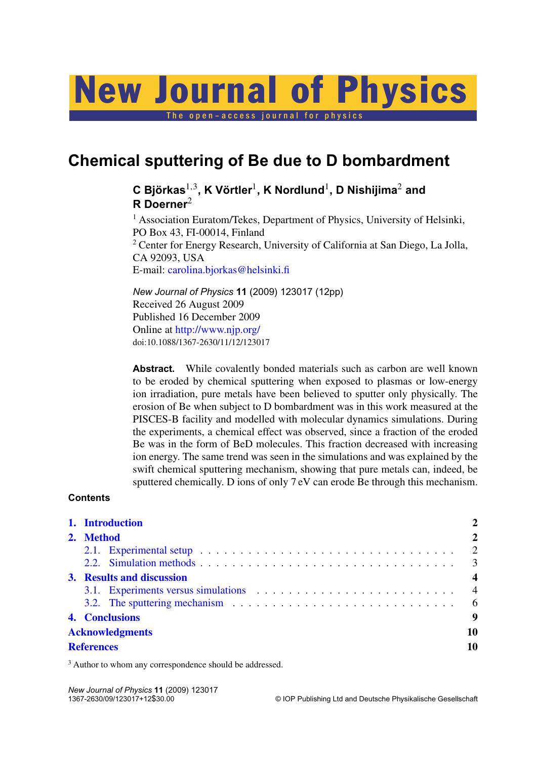# New Journal of Physics

The open-access journal for physics

## **Chemical sputtering of Be due to D bombardment**

### **C Björkas**1,<sup>3</sup> **, K Vörtler**<sup>1</sup> **, K Nordlund**<sup>1</sup> **, D Nishijima**<sup>2</sup> **and R Doerner**<sup>2</sup>

<sup>1</sup> Association Euratom/Tekes, Department of Physics, University of Helsinki, PO Box 43, FI-00014, Finland <sup>2</sup> Center for Energy Research, University of California at San Diego, La Jolla, CA 92093, USA E-mail: [carolina.bjorkas@helsinki.fi](mailto:carolina.bjorkas@helsinki.fi)

*New Journal of Physics* **11** (2009) 123017 (12pp) Received 26 August 2009 Published 16 December 2009 Online at <http://www.njp.org/> doi:10.1088/1367-2630/11/12/123017

Abstract. While covalently bonded materials such as carbon are well known to be eroded by chemical sputtering when exposed to plasmas or low-energy ion irradiation, pure metals have been believed to sputter only physically. The erosion of Be when subject to D bombardment was in this work measured at the PISCES-B facility and modelled with molecular dynamics simulations. During the experiments, a chemical effect was observed, since a fraction of the eroded Be was in the form of BeD molecules. This fraction decreased with increasing ion energy. The same trend was seen in the simulations and was explained by the swift chemical sputtering mechanism, showing that pure metals can, indeed, be sputtered chemically. D ions of only 7 eV can erode Be through this mechanism.

#### **Contents**

|           | 1. Introduction        |                                                                                                       |                |
|-----------|------------------------|-------------------------------------------------------------------------------------------------------|----------------|
| 2. Method |                        |                                                                                                       | $\overline{2}$ |
|           |                        |                                                                                                       | $\overline{2}$ |
|           |                        |                                                                                                       |                |
|           |                        | 3. Results and discussion                                                                             |                |
|           |                        |                                                                                                       | $\overline{4}$ |
|           |                        | 3.2. The sputtering mechanism $\ldots \ldots \ldots \ldots \ldots \ldots \ldots \ldots \ldots \ldots$ | 6              |
|           | 4. Conclusions         |                                                                                                       | 9              |
|           | <b>Acknowledgments</b> |                                                                                                       |                |
|           | <b>References</b>      |                                                                                                       |                |

<sup>3</sup> Author to whom any correspondence should be addressed.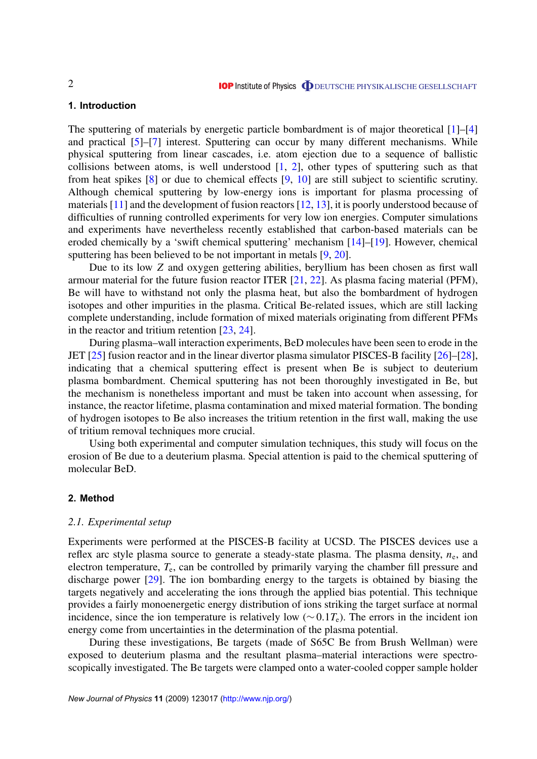#### <span id="page-1-0"></span>**1. Introduction**

The sputtering of materials by energetic particle bombardment is of major theoretical [\[1\]](#page-9-0)–[\[4\]](#page-9-0) and practical [\[5\]](#page-9-0)–[\[7\]](#page-9-0) interest. Sputtering can occur by many different mechanisms. While physical sputtering from linear cascades, i.e. atom ejection due to a sequence of ballistic collisions between atoms, is well understood  $[1, 2]$  $[1, 2]$  $[1, 2]$ , other types of sputtering such as that from heat spikes [\[8\]](#page-9-0) or due to chemical effects [\[9,](#page-9-0) [10\]](#page-9-0) are still subject to scientific scrutiny. Although chemical sputtering by low-energy ions is important for plasma processing of materials [\[11\]](#page-9-0) and the development of fusion reactors [\[12,](#page-9-0) [13\]](#page-9-0), it is poorly understood because of difficulties of running controlled experiments for very low ion energies. Computer simulations and experiments have nevertheless recently established that carbon-based materials can be eroded chemically by a 'swift chemical sputtering' mechanism [\[14\]](#page-9-0)–[\[19\]](#page-10-0). However, chemical sputtering has been believed to be not important in metals [\[9,](#page-9-0) [20\]](#page-10-0).

Due to its low *Z* and oxygen gettering abilities, beryllium has been chosen as first wall armour material for the future fusion reactor ITER [\[21,](#page-10-0) [22\]](#page-10-0). As plasma facing material (PFM), Be will have to withstand not only the plasma heat, but also the bombardment of hydrogen isotopes and other impurities in the plasma. Critical Be-related issues, which are still lacking complete understanding, include formation of mixed materials originating from different PFMs in the reactor and tritium retention [\[23,](#page-10-0) [24\]](#page-10-0).

During plasma–wall interaction experiments, BeD molecules have been seen to erode in the JET [\[25\]](#page-10-0) fusion reactor and in the linear divertor plasma simulator PISCES-B facility [\[26\]](#page-10-0)–[\[28\]](#page-10-0), indicating that a chemical sputtering effect is present when Be is subject to deuterium plasma bombardment. Chemical sputtering has not been thoroughly investigated in Be, but the mechanism is nonetheless important and must be taken into account when assessing, for instance, the reactor lifetime, plasma contamination and mixed material formation. The bonding of hydrogen isotopes to Be also increases the tritium retention in the first wall, making the use of tritium removal techniques more crucial.

Using both experimental and computer simulation techniques, this study will focus on the erosion of Be due to a deuterium plasma. Special attention is paid to the chemical sputtering of molecular BeD.

#### **2. Method**

#### *2.1. Experimental setup*

Experiments were performed at the PISCES-B facility at UCSD. The PISCES devices use a reflex arc style plasma source to generate a steady-state plasma. The plasma density,  $n_e$ , and electron temperature, *T*<sup>e</sup> , can be controlled by primarily varying the chamber fill pressure and discharge power [\[29\]](#page-10-0). The ion bombarding energy to the targets is obtained by biasing the targets negatively and accelerating the ions through the applied bias potential. This technique provides a fairly monoenergetic energy distribution of ions striking the target surface at normal incidence, since the ion temperature is relatively low ( $\sim 0.1T_e$ ). The errors in the incident ion energy come from uncertainties in the determination of the plasma potential.

During these investigations, Be targets (made of S65C Be from Brush Wellman) were exposed to deuterium plasma and the resultant plasma–material interactions were spectroscopically investigated. The Be targets were clamped onto a water-cooled copper sample holder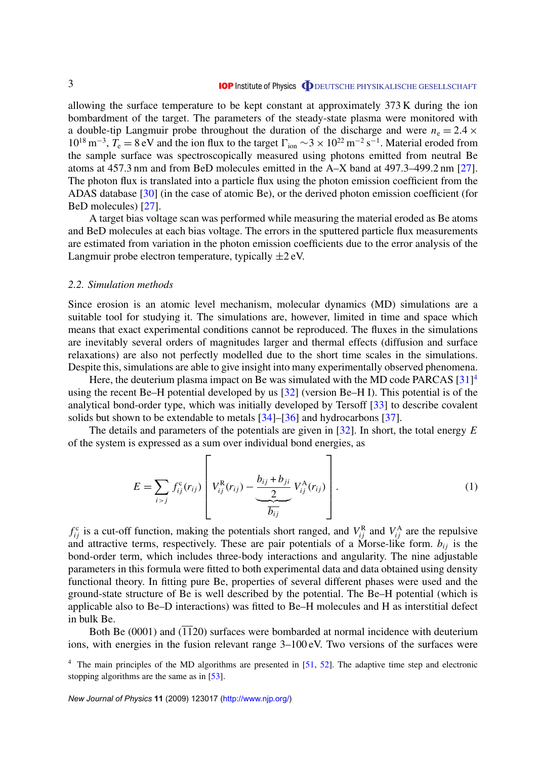<span id="page-2-0"></span>allowing the surface temperature to be kept constant at approximately 373 K during the ion bombardment of the target. The parameters of the steady-state plasma were monitored with a double-tip Langmuir probe throughout the duration of the discharge and were  $n_e = 2.4 \times$  $10^{18}$  m<sup>-3</sup>,  $T_e = 8$  eV and the ion flux to the target  $\Gamma_{ion} \sim 3 \times 10^{22}$  m<sup>-2</sup> s<sup>-1</sup>. Material eroded from the sample surface was spectroscopically measured using photons emitted from neutral Be atoms at 457.3 nm and from BeD molecules emitted in the A–X band at 497.3–499.2 nm [\[27\]](#page-10-0). The photon flux is translated into a particle flux using the photon emission coefficient from the ADAS database [\[30\]](#page-10-0) (in the case of atomic Be), or the derived photon emission coefficient (for BeD molecules) [\[27\]](#page-10-0).

A target bias voltage scan was performed while measuring the material eroded as Be atoms and BeD molecules at each bias voltage. The errors in the sputtered particle flux measurements are estimated from variation in the photon emission coefficients due to the error analysis of the Langmuir probe electron temperature, typically  $\pm 2$  eV.

#### *2.2. Simulation methods*

Since erosion is an atomic level mechanism, molecular dynamics (MD) simulations are a suitable tool for studying it. The simulations are, however, limited in time and space which means that exact experimental conditions cannot be reproduced. The fluxes in the simulations are inevitably several orders of magnitudes larger and thermal effects (diffusion and surface relaxations) are also not perfectly modelled due to the short time scales in the simulations. Despite this, simulations are able to give insight into many experimentally observed phenomena.

Here, the deuterium plasma impact on Be was simulated with the MD code PARCAS  $[31]^4$  $[31]^4$ using the recent Be–H potential developed by us [\[32\]](#page-10-0) (version Be–H I). This potential is of the analytical bond-order type, which was initially developed by Tersoff [\[33\]](#page-10-0) to describe covalent solids but shown to be extendable to metals [\[34\]](#page-10-0)–[\[36\]](#page-10-0) and hydrocarbons [\[37\]](#page-10-0).

The details and parameters of the potentials are given in [\[32\]](#page-10-0). In short, the total energy *E* of the system is expressed as a sum over individual bond energies, as

$$
E = \sum_{i > j} f_{ij}^{c}(r_{ij}) \left[ V_{ij}^{R}(r_{ij}) - \underbrace{\frac{b_{ij} + b_{ji}}{2}}_{\overline{b_{ij}}} V_{ij}^{A}(r_{ij}) \right].
$$
 (1)

 $f_{ij}^c$  is a cut-off function, making the potentials short ranged, and  $V_{ij}^R$  and  $V_{ij}^A$  are the repulsive and attractive terms, respectively. These are pair potentials of a Morse-like form.  $b_{ij}$  is the bond-order term, which includes three-body interactions and angularity. The nine adjustable parameters in this formula were fitted to both experimental data and data obtained using density functional theory. In fitting pure Be, properties of several different phases were used and the ground-state structure of Be is well described by the potential. The Be–H potential (which is applicable also to Be–D interactions) was fitted to Be–H molecules and H as interstitial defect in bulk Be.

Both Be  $(0001)$  and  $(1120)$  surfaces were bombarded at normal incidence with deuterium ions, with energies in the fusion relevant range 3–100 eV. Two versions of the surfaces were

 $4$  The main principles of the MD algorithms are presented in [\[51,](#page-11-0) [52\]](#page-11-0). The adaptive time step and electronic stopping algorithms are the same as in [\[53\]](#page-11-0).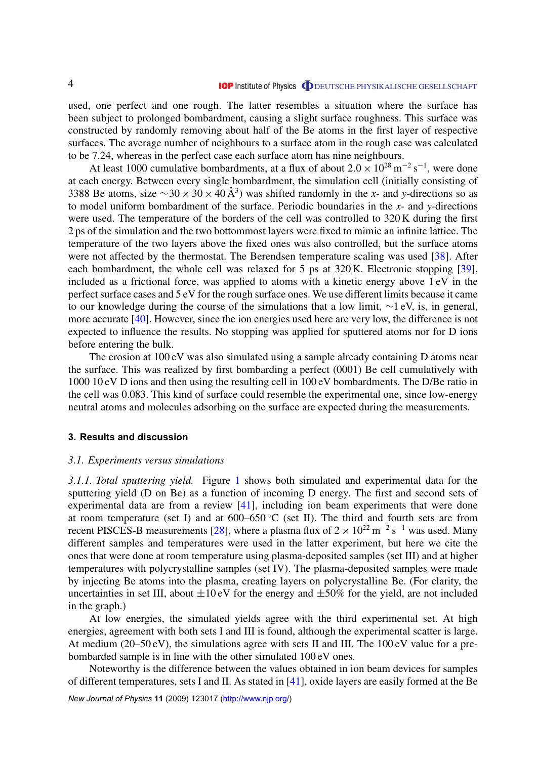<span id="page-3-0"></span>used, one perfect and one rough. The latter resembles a situation where the surface has been subject to prolonged bombardment, causing a slight surface roughness. This surface was constructed by randomly removing about half of the Be atoms in the first layer of respective surfaces. The average number of neighbours to a surface atom in the rough case was calculated to be 7.24, whereas in the perfect case each surface atom has nine neighbours.

At least 1000 cumulative bombardments, at a flux of about  $2.0 \times 10^{28}$  m<sup>-2</sup> s<sup>-1</sup>, were done at each energy. Between every single bombardment, the simulation cell (initially consisting of 3388 Be atoms, size  $\sim$ 30 × 30 × 40 Å<sup>3</sup>) was shifted randomly in the *x*- and *y*-directions so as to model uniform bombardment of the surface. Periodic boundaries in the *x-* and *y-*directions were used. The temperature of the borders of the cell was controlled to 320 K during the first 2 ps of the simulation and the two bottommost layers were fixed to mimic an infinite lattice. The temperature of the two layers above the fixed ones was also controlled, but the surface atoms were not affected by the thermostat. The Berendsen temperature scaling was used [\[38\]](#page-10-0). After each bombardment, the whole cell was relaxed for 5 ps at 320 K. Electronic stopping [\[39\]](#page-10-0), included as a frictional force, was applied to atoms with a kinetic energy above 1 eV in the perfect surface cases and 5 eV for the rough surface ones. We use different limits because it came to our knowledge during the course of the simulations that a low limit, ∼1 eV, is, in general, more accurate [\[40\]](#page-10-0). However, since the ion energies used here are very low, the difference is not expected to influence the results. No stopping was applied for sputtered atoms nor for D ions before entering the bulk.

The erosion at  $100 \text{ eV}$  was also simulated using a sample already containing D atoms near the surface. This was realized by first bombarding a perfect (0001) Be cell cumulatively with 1000 10 eV D ions and then using the resulting cell in 100 eV bombardments. The D/Be ratio in the cell was 0.083. This kind of surface could resemble the experimental one, since low-energy neutral atoms and molecules adsorbing on the surface are expected during the measurements.

#### **3. Results and discussion**

#### *3.1. Experiments versus simulations*

*3.1.1. Total sputtering yield.* Figure [1](#page-4-0) shows both simulated and experimental data for the sputtering yield (D on Be) as a function of incoming D energy. The first and second sets of experimental data are from a review [\[41\]](#page-10-0), including ion beam experiments that were done at room temperature (set I) and at  $600-650\degree C$  (set II). The third and fourth sets are from recent PISCES-B measurements [\[28\]](#page-10-0), where a plasma flux of  $2 \times 10^{22}$  m<sup>-2</sup> s<sup>-1</sup> was used. Many different samples and temperatures were used in the latter experiment, but here we cite the ones that were done at room temperature using plasma-deposited samples (set III) and at higher temperatures with polycrystalline samples (set IV). The plasma-deposited samples were made by injecting Be atoms into the plasma, creating layers on polycrystalline Be. (For clarity, the uncertainties in set III, about  $\pm 10 \text{ eV}$  for the energy and  $\pm 50\%$  for the yield, are not included in the graph.)

At low energies, the simulated yields agree with the third experimental set. At high energies, agreement with both sets I and III is found, although the experimental scatter is large. At medium (20–50 eV), the simulations agree with sets II and III. The 100 eV value for a prebombarded sample is in line with the other simulated 100 eV ones.

Noteworthy is the difference between the values obtained in ion beam devices for samples of different temperatures, sets I and II. As stated in [\[41\]](#page-10-0), oxide layers are easily formed at the Be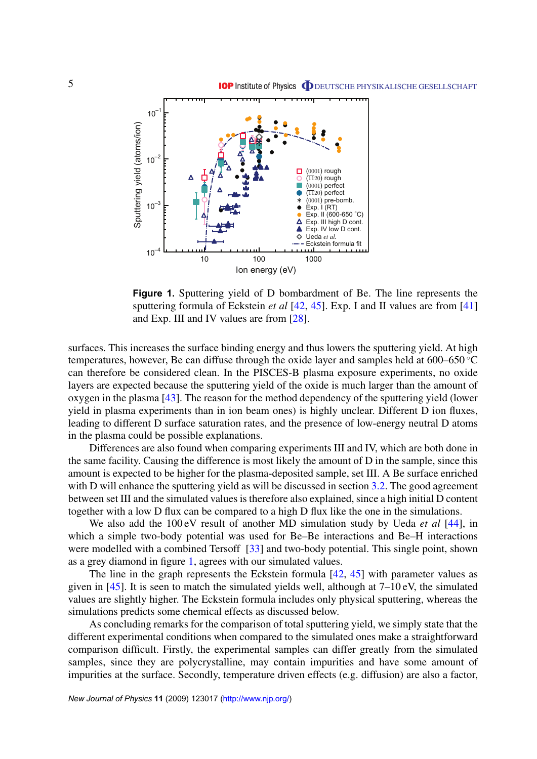<span id="page-4-0"></span>

**Figure 1.** Sputtering yield of D bombardment of Be. The line represents the sputtering formula of Eckstein *et al* [\[42,](#page-10-0) [45\]](#page-10-0). Exp. I and II values are from [\[41\]](#page-10-0) and Exp. III and IV values are from [\[28\]](#page-10-0).

surfaces. This increases the surface binding energy and thus lowers the sputtering yield. At high temperatures, however, Be can diffuse through the oxide layer and samples held at 600–650 ◦C can therefore be considered clean. In the PISCES-B plasma exposure experiments, no oxide layers are expected because the sputtering yield of the oxide is much larger than the amount of oxygen in the plasma [\[43\]](#page-10-0). The reason for the method dependency of the sputtering yield (lower yield in plasma experiments than in ion beam ones) is highly unclear. Different D ion fluxes, leading to different D surface saturation rates, and the presence of low-energy neutral D atoms in the plasma could be possible explanations.

Differences are also found when comparing experiments III and IV, which are both done in the same facility. Causing the difference is most likely the amount of D in the sample, since this amount is expected to be higher for the plasma-deposited sample, set III. A Be surface enriched with D will enhance the sputtering yield as will be discussed in section [3.2.](#page-5-0) The good agreement between set III and the simulated values is therefore also explained, since a high initial D content together with a low D flux can be compared to a high D flux like the one in the simulations.

We also add the 100 eV result of another MD simulation study by Ueda *et al* [\[44\]](#page-10-0), in which a simple two-body potential was used for Be–Be interactions and Be–H interactions were modelled with a combined Tersoff [\[33\]](#page-10-0) and two-body potential. This single point, shown as a grey diamond in figure 1, agrees with our simulated values.

The line in the graph represents the Eckstein formula [\[42,](#page-10-0) [45\]](#page-10-0) with parameter values as given in [\[45\]](#page-10-0). It is seen to match the simulated yields well, although at  $7-10 \text{ eV}$ , the simulated values are slightly higher. The Eckstein formula includes only physical sputtering, whereas the simulations predicts some chemical effects as discussed below.

As concluding remarks for the comparison of total sputtering yield, we simply state that the different experimental conditions when compared to the simulated ones make a straightforward comparison difficult. Firstly, the experimental samples can differ greatly from the simulated samples, since they are polycrystalline, may contain impurities and have some amount of impurities at the surface. Secondly, temperature driven effects (e.g. diffusion) are also a factor,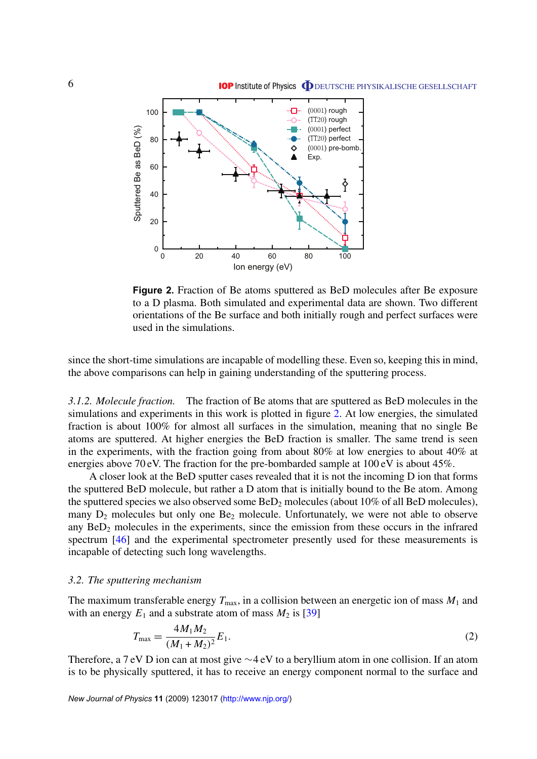<span id="page-5-0"></span>

**Figure 2.** Fraction of Be atoms sputtered as BeD molecules after Be exposure to a D plasma. Both simulated and experimental data are shown. Two different orientations of the Be surface and both initially rough and perfect surfaces were used in the simulations.

since the short-time simulations are incapable of modelling these. Even so, keeping this in mind, the above comparisons can help in gaining understanding of the sputtering process.

*3.1.2. Molecule fraction.* The fraction of Be atoms that are sputtered as BeD molecules in the simulations and experiments in this work is plotted in figure 2. At low energies, the simulated fraction is about 100% for almost all surfaces in the simulation, meaning that no single Be atoms are sputtered. At higher energies the BeD fraction is smaller. The same trend is seen in the experiments, with the fraction going from about 80% at low energies to about 40% at energies above 70 eV. The fraction for the pre-bombarded sample at 100 eV is about 45%.

A closer look at the BeD sputter cases revealed that it is not the incoming D ion that forms the sputtered BeD molecule, but rather a D atom that is initially bound to the Be atom. Among the sputtered species we also observed some  $BeD<sub>2</sub>$  molecules (about 10% of all BeD molecules), many  $D_2$  molecules but only one  $Be_2$  molecule. Unfortunately, we were not able to observe any  $BeD<sub>2</sub>$  molecules in the experiments, since the emission from these occurs in the infrared spectrum [\[46\]](#page-11-0) and the experimental spectrometer presently used for these measurements is incapable of detecting such long wavelengths.

#### *3.2. The sputtering mechanism*

The maximum transferable energy  $T_{\text{max}}$ , in a collision between an energetic ion of mass  $M_1$  and with an energy  $E_1$  and a substrate atom of mass  $M_2$  is [\[39\]](#page-10-0)

$$
T_{\text{max}} = \frac{4M_1M_2}{(M_1 + M_2)^2} E_1. \tag{2}
$$

Therefore, a 7 eV D ion can at most give ∼4 eV to a beryllium atom in one collision. If an atom is to be physically sputtered, it has to receive an energy component normal to the surface and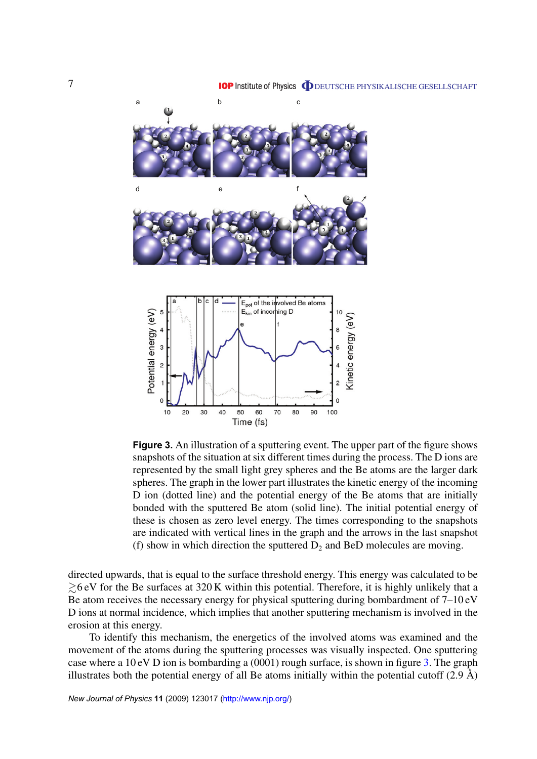<span id="page-6-0"></span>

**Figure 3.** An illustration of a sputtering event. The upper part of the figure shows snapshots of the situation at six different times during the process. The D ions are represented by the small light grey spheres and the Be atoms are the larger dark spheres. The graph in the lower part illustrates the kinetic energy of the incoming D ion (dotted line) and the potential energy of the Be atoms that are initially bonded with the sputtered Be atom (solid line). The initial potential energy of these is chosen as zero level energy. The times corresponding to the snapshots are indicated with vertical lines in the graph and the arrows in the last snapshot (f) show in which direction the sputtered  $D_2$  and BeD molecules are moving.

directed upwards, that is equal to the surface threshold energy. This energy was calculated to be  $\gtrsim$ 6 eV for the Be surfaces at 320 K within this potential. Therefore, it is highly unlikely that a Be atom receives the necessary energy for physical sputtering during bombardment of 7–10 eV D ions at normal incidence, which implies that another sputtering mechanism is involved in the erosion at this energy.

To identify this mechanism, the energetics of the involved atoms was examined and the movement of the atoms during the sputtering processes was visually inspected. One sputtering case where a 10 eV D ion is bombarding a (0001) rough surface, is shown in figure 3. The graph illustrates both the potential energy of all Be atoms initially within the potential cutoff (2.9 Å)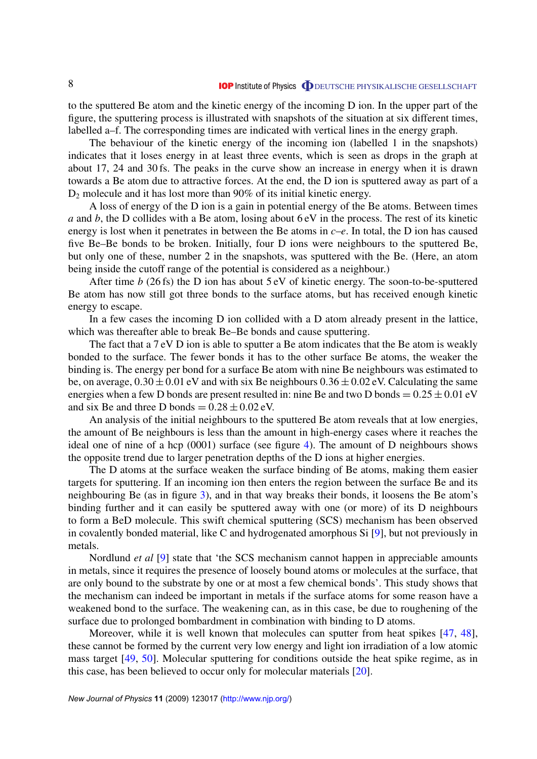to the sputtered Be atom and the kinetic energy of the incoming D ion. In the upper part of the figure, the sputtering process is illustrated with snapshots of the situation at six different times, labelled a–f. The corresponding times are indicated with vertical lines in the energy graph.

The behaviour of the kinetic energy of the incoming ion (labelled 1 in the snapshots) indicates that it loses energy in at least three events, which is seen as drops in the graph at about 17, 24 and 30 fs. The peaks in the curve show an increase in energy when it is drawn towards a Be atom due to attractive forces. At the end, the D ion is sputtered away as part of a  $D_2$  molecule and it has lost more than 90% of its initial kinetic energy.

A loss of energy of the D ion is a gain in potential energy of the Be atoms. Between times *a* and *b*, the D collides with a Be atom, losing about 6 eV in the process. The rest of its kinetic energy is lost when it penetrates in between the Be atoms in *c*–*e*. In total, the D ion has caused five Be–Be bonds to be broken. Initially, four D ions were neighbours to the sputtered Be, but only one of these, number 2 in the snapshots, was sputtered with the Be. (Here, an atom being inside the cutoff range of the potential is considered as a neighbour.)

After time *b* (26 fs) the D ion has about 5 eV of kinetic energy. The soon-to-be-sputtered Be atom has now still got three bonds to the surface atoms, but has received enough kinetic energy to escape.

In a few cases the incoming D ion collided with a D atom already present in the lattice, which was thereafter able to break Be–Be bonds and cause sputtering.

The fact that a 7 eV D ion is able to sputter a Be atom indicates that the Be atom is weakly bonded to the surface. The fewer bonds it has to the other surface Be atoms, the weaker the binding is. The energy per bond for a surface Be atom with nine Be neighbours was estimated to be, on average,  $0.30 \pm 0.01$  eV and with six Be neighbours  $0.36 \pm 0.02$  eV. Calculating the same energies when a few D bonds are present resulted in: nine Be and two D bonds  $= 0.25 \pm 0.01$  eV and six Be and three D bonds  $= 0.28 \pm 0.02$  eV.

An analysis of the initial neighbours to the sputtered Be atom reveals that at low energies, the amount of Be neighbours is less than the amount in high-energy cases where it reaches the ideal one of nine of a hcp (0001) surface (see figure [4\)](#page-8-0). The amount of D neighbours shows the opposite trend due to larger penetration depths of the D ions at higher energies.

The D atoms at the surface weaken the surface binding of Be atoms, making them easier targets for sputtering. If an incoming ion then enters the region between the surface Be and its neighbouring Be (as in figure [3\)](#page-6-0), and in that way breaks their bonds, it loosens the Be atom's binding further and it can easily be sputtered away with one (or more) of its D neighbours to form a BeD molecule. This swift chemical sputtering (SCS) mechanism has been observed in covalently bonded material, like C and hydrogenated amorphous Si [\[9\]](#page-9-0), but not previously in metals.

Nordlund *et al* [\[9\]](#page-9-0) state that 'the SCS mechanism cannot happen in appreciable amounts in metals, since it requires the presence of loosely bound atoms or molecules at the surface, that are only bound to the substrate by one or at most a few chemical bonds'. This study shows that the mechanism can indeed be important in metals if the surface atoms for some reason have a weakened bond to the surface. The weakening can, as in this case, be due to roughening of the surface due to prolonged bombardment in combination with binding to D atoms.

Moreover, while it is well known that molecules can sputter from heat spikes [\[47,](#page-11-0) [48\]](#page-11-0), these cannot be formed by the current very low energy and light ion irradiation of a low atomic mass target [\[49,](#page-11-0) [50\]](#page-11-0). Molecular sputtering for conditions outside the heat spike regime, as in this case, has been believed to occur only for molecular materials [\[20\]](#page-10-0).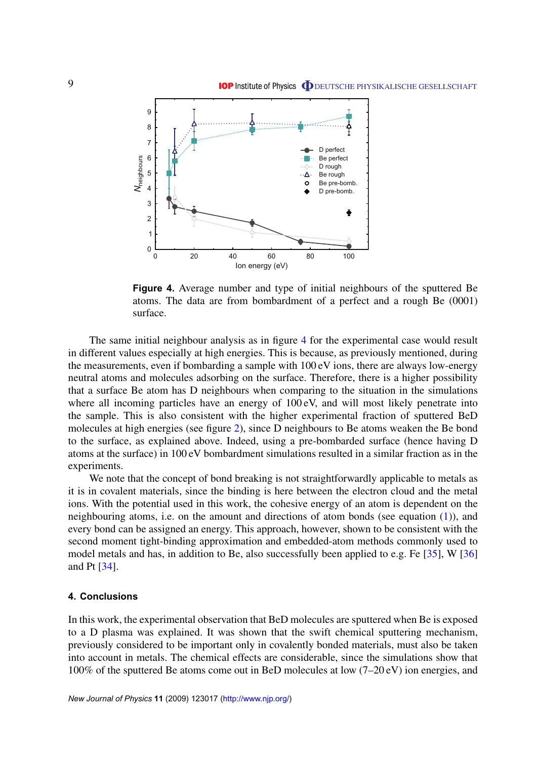<span id="page-8-0"></span>

**Figure 4.** Average number and type of initial neighbours of the sputtered Be atoms. The data are from bombardment of a perfect and a rough Be (0001) surface.

The same initial neighbour analysis as in figure 4 for the experimental case would result in different values especially at high energies. This is because, as previously mentioned, during the measurements, even if bombarding a sample with 100 eV ions, there are always low-energy neutral atoms and molecules adsorbing on the surface. Therefore, there is a higher possibility that a surface Be atom has D neighbours when comparing to the situation in the simulations where all incoming particles have an energy of  $100 \text{ eV}$ , and will most likely penetrate into the sample. This is also consistent with the higher experimental fraction of sputtered BeD molecules at high energies (see figure [2\)](#page-5-0), since D neighbours to Be atoms weaken the Be bond to the surface, as explained above. Indeed, using a pre-bombarded surface (hence having D atoms at the surface) in 100 eV bombardment simulations resulted in a similar fraction as in the experiments.

We note that the concept of bond breaking is not straightforwardly applicable to metals as it is in covalent materials, since the binding is here between the electron cloud and the metal ions. With the potential used in this work, the cohesive energy of an atom is dependent on the neighbouring atoms, i.e. on the amount and directions of atom bonds (see equation [\(1\)](#page-2-0)), and every bond can be assigned an energy. This approach, however, shown to be consistent with the second moment tight-binding approximation and embedded-atom methods commonly used to model metals and has, in addition to Be, also successfully been applied to e.g. Fe [\[35\]](#page-10-0), W [\[36\]](#page-10-0) and Pt [\[34\]](#page-10-0).

#### **4. Conclusions**

In this work, the experimental observation that BeD molecules are sputtered when Be is exposed to a D plasma was explained. It was shown that the swift chemical sputtering mechanism, previously considered to be important only in covalently bonded materials, must also be taken into account in metals. The chemical effects are considerable, since the simulations show that 100% of the sputtered Be atoms come out in BeD molecules at low (7–20 eV) ion energies, and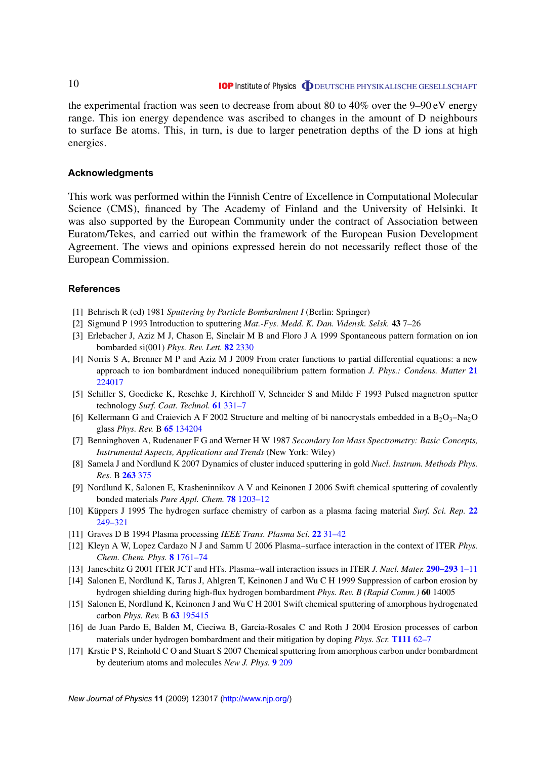the experimental fraction was seen to decrease from about 80 to 40% over the 9–90 eV energy range. This ion energy dependence was ascribed to changes in the amount of D neighbours to surface Be atoms. This, in turn, is due to larger penetration depths of the D ions at high energies.

#### **Acknowledgments**

This work was performed within the Finnish Centre of Excellence in Computational Molecular Science (CMS), financed by The Academy of Finland and the University of Helsinki. It was also supported by the European Community under the contract of Association between Euratom/Tekes, and carried out within the framework of the European Fusion Development Agreement. The views and opinions expressed herein do not necessarily reflect those of the European Commission.

#### **References**

- [1] Behrisch R (ed) 1981 *Sputtering by Particle Bombardment I* (Berlin: Springer)
- [2] Sigmund P 1993 Introduction to sputtering *Mat.-Fys. Medd. K. Dan. Vidensk. Selsk.* **43** 7–26
- [3] Erlebacher J, Aziz M J, Chason E, Sinclair M B and Floro J A 1999 Spontaneous pattern formation on ion bombarded si(001) *Phys. Rev. Lett.* **82** [2330](http://dx.doi.org/10.1103/PhysRevLett.82.2330)
- [4] Norris S A, Brenner M P and Aziz M J 2009 From crater functions to partial differential equations: a new approach to ion bombardment induced nonequilibrium pattern formation *J. Phys.: Condens. Matter* **[21](http://dx.doi.org/10.1088/0953-8984/21/22/224017)** [224017](http://dx.doi.org/10.1088/0953-8984/21/22/224017)
- [5] Schiller S, Goedicke K, Reschke J, Kirchhoff V, Schneider S and Milde F 1993 Pulsed magnetron sputter technology *Surf. Coat. Technol.* **61** [331–7](http://dx.doi.org/10.1016/0257-8972(93)90248-M)
- [6] Kellermann G and Craievich A F 2002 Structure and melting of bi nanocrystals embedded in a  $B_2O_3-Na_2O$ glass *Phys. Rev.* B **65** [134204](http://dx.doi.org/10.1103/PhysRevB.65.134204)
- [7] Benninghoven A, Rudenauer F G and Werner H W 1987 *Secondary Ion Mass Spectrometry: Basic Concepts, Instrumental Aspects, Applications and Trends* (New York: Wiley)
- [8] Samela J and Nordlund K 2007 Dynamics of cluster induced sputtering in gold *Nucl. Instrum. Methods Phys. Res.* B **[263](http://dx.doi.org/10.1016/j.nimb.2007.06.017)** 375
- [9] Nordlund K, Salonen E, Krasheninnikov A V and Keinonen J 2006 Swift chemical sputtering of covalently bonded materials *Pure Appl. Chem.* **78** [1203–12](http://dx.doi.org/10.1351/pac200678061203)
- [10] Küppers J 1995 The hydrogen surface chemistry of carbon as a plasma facing material *Surf. Sci. Rep.* **[22](http://dx.doi.org/10.1016/0167-5729(96)80002-1)** [249–321](http://dx.doi.org/10.1016/0167-5729(96)80002-1)
- [11] Graves D B 1994 Plasma processing *IEEE Trans. Plasma Sci.* **22** [31–42](http://dx.doi.org/10.1109/27.281547)
- [12] Kleyn A W, Lopez Cardazo N J and Samm U 2006 Plasma–surface interaction in the context of ITER *Phys. Chem. Chem. Phys.* **8** [1761–74](http://dx.doi.org/10.1039/b514367e)
- [13] Janeschitz G 2001 ITER JCT and HTs. Plasma–wall interaction issues in ITER *J. Nucl. Mater.* **[290–293](http://dx.doi.org/10.1016/S0022-3115(00)00623-1)** 1–11
- [14] Salonen E, Nordlund K, Tarus J, Ahlgren T, Keinonen J and Wu C H 1999 Suppression of carbon erosion by hydrogen shielding during high-flux hydrogen bombardment *Phys. Rev. B (Rapid Comm.)* **60** 14005
- [15] Salonen E, Nordlund K, Keinonen J and Wu C H 2001 Swift chemical sputtering of amorphous hydrogenated carbon *Phys. Rev.* B **63** [195415](http://dx.doi.org/10.1103/PhysRevB.63.195415)
- [16] de Juan Pardo E, Balden M, Cieciwa B, Garcia-Rosales C and Roth J 2004 Erosion processes of carbon materials under hydrogen bombardment and their mitigation by doping *Phys. Scr.* **[T111](http://dx.doi.org/10.1238/Physica.Topical.111a00062)** 62–7
- [17] Krstic P S, Reinhold C O and Stuart S 2007 Chemical sputtering from amorphous carbon under bombardment by deuterium atoms and molecules *New J. Phys.* **9** [209](http://dx.doi.org/10.1088/1367-2630/9/7/209)

<span id="page-9-0"></span>10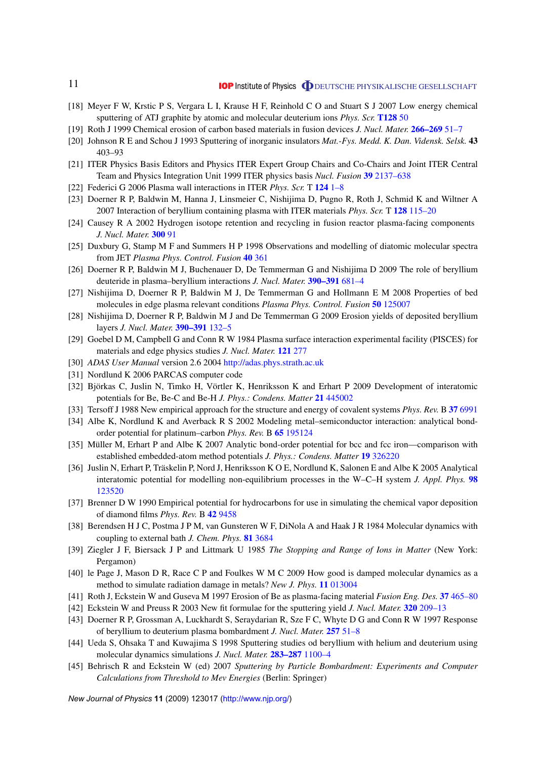- [18] Meyer F W, Krstic P S, Vergara L I, Krause H F, Reinhold C O and Stuart S J 2007 Low energy chemical sputtering of ATJ graphite by atomic and molecular deuterium ions *Phys. Scr.* **[T128](http://dx.doi.org/10.1088/0031-8949/2007/T128/010)** 50
- [19] Roth J 1999 Chemical erosion of carbon based materials in fusion devices *J. Nucl. Mater.* **[266–269](http://dx.doi.org/10.1016/S0022-3115(98)00658-8)** 51–7
- [20] Johnson R E and Schou J 1993 Sputtering of inorganic insulators *Mat.-Fys. Medd. K. Dan. Vidensk. Selsk.* **43** 403–93
- [21] ITER Physics Basis Editors and Physics ITER Expert Group Chairs and Co-Chairs and Joint ITER Central Team and Physics Integration Unit 1999 ITER physics basis *Nucl. Fusion* **39** [2137–638](http://dx.doi.org/10.1088/0029-5515/39/12/301)
- [22] Federici G 2006 Plasma wall interactions in ITER *Phys. Scr.* T **124** [1–8](http://dx.doi.org/10.1088/0031-8949/2006/T124/001)
- [23] Doerner R P, Baldwin M, Hanna J, Linsmeier C, Nishijima D, Pugno R, Roth J, Schmid K and Wiltner A 2007 Interaction of beryllium containing plasma with ITER materials *Phys. Scr.* T **128** [115–20](http://dx.doi.org/10.1088/0031-8949/2007/T128/023)
- [24] Causey R A 2002 Hydrogen isotope retention and recycling in fusion reactor plasma-facing components *J. Nucl. Mater.* **[300](http://dx.doi.org/10.1016/S0022-3115(01)00732-2)** 91
- [25] Duxbury G, Stamp M F and Summers H P 1998 Observations and modelling of diatomic molecular spectra from JET *Plasma Phys. Control. Fusion* **40** [361](http://dx.doi.org/10.1088/0741-3335/40/3/002)
- [26] Doerner R P, Baldwin M J, Buchenauer D, De Temmerman G and Nishijima D 2009 The role of beryllium deuteride in plasma–beryllium interactions *J. Nucl. Mater.* **[390–391](http://dx.doi.org/10.1016/j.jnucmat.2009.01.187)** 681–4
- [27] Nishijima D, Doerner R P, Baldwin M J, De Temmerman G and Hollmann E M 2008 Properties of bed molecules in edge plasma relevant conditions *Plasma Phys. Control. Fusion* **50** [125007](http://dx.doi.org/10.1088/0741-3335/50/12/125007)
- [28] Nishijima D, Doerner R P, Baldwin M J and De Temmerman G 2009 Erosion yields of deposited beryllium layers *J. Nucl. Mater.* **[390–391](http://dx.doi.org/10.1016/j.jnucmat.2009.01.144)** 132–5
- [29] Goebel D M, Campbell G and Conn R W 1984 Plasma surface interaction experimental facility (PISCES) for materials and edge physics studies *J. Nucl. Mater.* **121** [277](http://dx.doi.org/10.1016/0022-3115(84)90135-1)
- [30] *ADAS User Manual* version 2.6 2004 <http://adas.phys.strath.ac.uk>
- [31] Nordlund K 2006 PARCAS computer code
- [32] Björkas C, Juslin N, Timko H, Vörtler K, Henriksson K and Erhart P 2009 Development of interatomic potentials for Be, Be-C and Be-H *J. Phys.: Condens. Matter* **21** [445002](http://dx.doi.org/10.1088/0953-8984/21/44/445002)
- [33] Tersoff J 1988 New empirical approach for the structure and energy of covalent systems *Phys. Rev.* B **37** [6991](http://dx.doi.org/10.1103/PhysRevB.37.6991)
- [34] Albe K, Nordlund K and Averback R S 2002 Modeling metal–semiconductor interaction: analytical bondorder potential for platinum–carbon *Phys. Rev.* B **65** [195124](http://dx.doi.org/10.1103/PhysRevB.65.195124)
- [35] Müller M, Erhart P and Albe K 2007 Analytic bond-order potential for bcc and fcc iron—comparison with established embedded-atom method potentials *J. Phys.: Condens. Matter* **19** [326220](http://dx.doi.org/10.1088/0953-8984/19/32/326220)
- [36] Juslin N, Erhart P, Träskelin P, Nord J, Henriksson K O E, Nordlund K, Salonen E and Albe K 2005 Analytical interatomic potential for modelling non-equilibrium processes in the W–C–H system *J. Appl. Phys.* **[98](http://dx.doi.org/10.1063/1.2149492)** [123520](http://dx.doi.org/10.1063/1.2149492)
- [37] Brenner D W 1990 Empirical potential for hydrocarbons for use in simulating the chemical vapor deposition of diamond films *Phys. Rev.* B **42** [9458](http://dx.doi.org/10.1103/PhysRevB.42.9458)
- [38] Berendsen H J C, Postma J P M, van Gunsteren W F, DiNola A and Haak J R 1984 Molecular dynamics with coupling to external bath *J. Chem. Phys.* **81** [3684](http://dx.doi.org/10.1063/1.448118)
- [39] Ziegler J F, Biersack J P and Littmark U 1985 *The Stopping and Range of Ions in Matter* (New York: Pergamon)
- [40] le Page J, Mason D R, Race C P and Foulkes W M C 2009 How good is damped molecular dynamics as a method to simulate radiation damage in metals? *New J. Phys.* **11** [013004](http://dx.doi.org/10.1088/1367-2630/11/1/013004)
- [41] Roth J, Eckstein W and Guseva M 1997 Erosion of Be as plasma-facing material *Fusion Eng. Des.* **37** [465–80](http://dx.doi.org/10.1016/S0920-3796(97)00091-4)
- [42] Eckstein W and Preuss R 2003 New fit formulae for the sputtering yield *J. Nucl. Mater.* **320** [209–13](http://dx.doi.org/10.1016/S0022-3115(03)00192-2)
- [43] Doerner R P, Grossman A, Luckhardt S, Seraydarian R, Sze F C, Whyte D G and Conn R W 1997 Response of beryllium to deuterium plasma bombardment *J. Nucl. Mater.* **257** [51–8](http://dx.doi.org/10.1016/S0022-3115(98)00435-8)
- [44] Ueda S, Ohsaka T and Kuwajima S 1998 Sputtering studies od beryllium with helium and deuterium using molecular dynamics simulations *J. Nucl. Mater.* **[283–287](http://dx.doi.org/10.1016/S0022-3115(00)00288-9)** 1100–4
- [45] Behrisch R and Eckstein W (ed) 2007 *Sputtering by Particle Bombardment: Experiments and Computer Calculations from Threshold to Mev Energies* (Berlin: Springer)

*New Journal of Physics* **11** (2009) 123017 [\(http://www.njp.org/\)](http://www.njp.org/)

<span id="page-10-0"></span>11